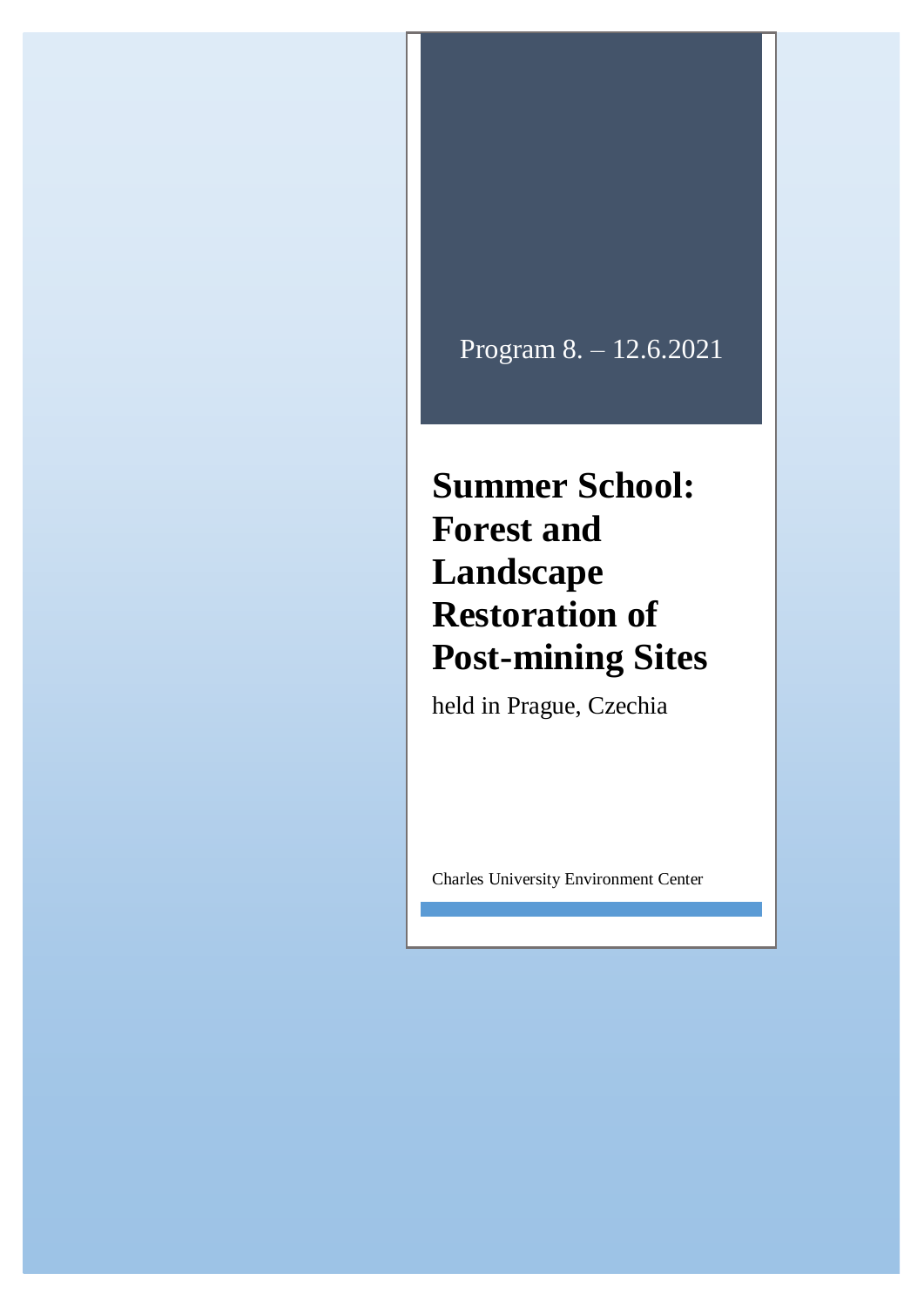## Program 8. – 12.6.2021

## **Summer School: Forest and Landscape Restoration of Post-mining Sites**

held in Prague, Czechia

Charles University Environment Center